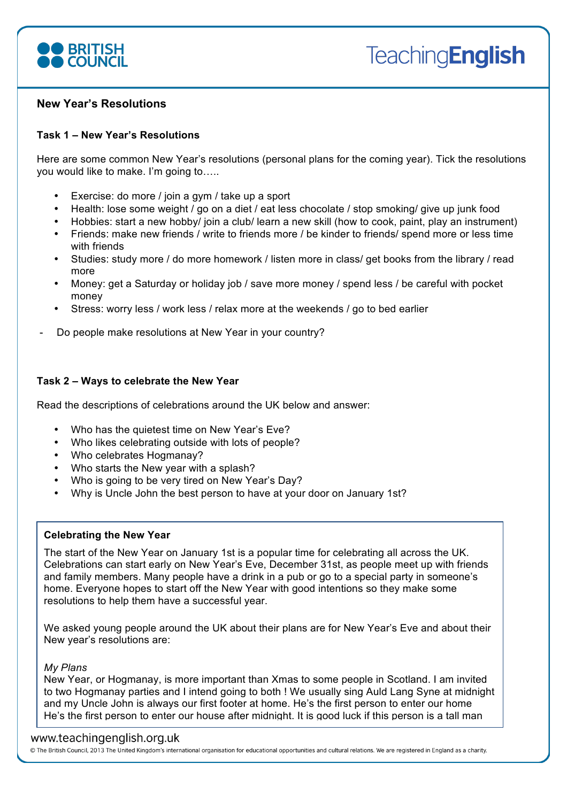

# **New Year's Resolutions**

# **Task 1 – New Year's Resolutions**

Here are some common New Year's resolutions (personal plans for the coming year). Tick the resolutions you would like to make. I'm going to…..

- Exercise: do more / join a gym / take up a sport
- Health: lose some weight / go on a diet / eat less chocolate / stop smoking/ give up junk food
- Hobbies: start a new hobby/ join a club/ learn a new skill (how to cook, paint, play an instrument)
- Friends: make new friends / write to friends more / be kinder to friends/ spend more or less time with friends
- Studies: study more / do more homework / listen more in class/ get books from the library / read more
- Money: get a Saturday or holiday job / save more money / spend less / be careful with pocket money
- Stress: worry less / work less / relax more at the weekends / go to bed earlier
- Do people make resolutions at New Year in your country?

# **Task 2 – Ways to celebrate the New Year**

Read the descriptions of celebrations around the UK below and answer:

- Who has the quietest time on New Year's Eve?
- Who likes celebrating outside with lots of people?
- Who celebrates Hogmanay?
- Who starts the New year with a splash?
- Who is going to be very tired on New Year's Day?
- Why is Uncle John the best person to have at your door on January 1st?

## **Celebrating the New Year**

The start of the New Year on January 1st is a popular time for celebrating all across the UK. Celebrations can start early on New Year's Eve, December 31st, as people meet up with friends and family members. Many people have a drink in a pub or go to a special party in someone's home. Everyone hopes to start off the New Year with good intentions so they make some resolutions to help them have a successful year.

We asked young people around the UK about their plans are for New Year's Eve and about their New year's resolutions are:

## *My Plans*

New Year, or Hogmanay, is more important than Xmas to some people in Scotland. I am invited to two Hogmanay parties and I intend going to both ! We usually sing Auld Lang Syne at midnight and my Uncle John is always our first footer at home. He's the first person to enter our home He's the first person to enter our house after midnight. It is good luck if this person is a tall man

# He's the first person to enter our house after midnight

© The British Council, 2013 The United Kingdom's international organisation for educational opportunities and cultural relations. We are registered in England as a charity.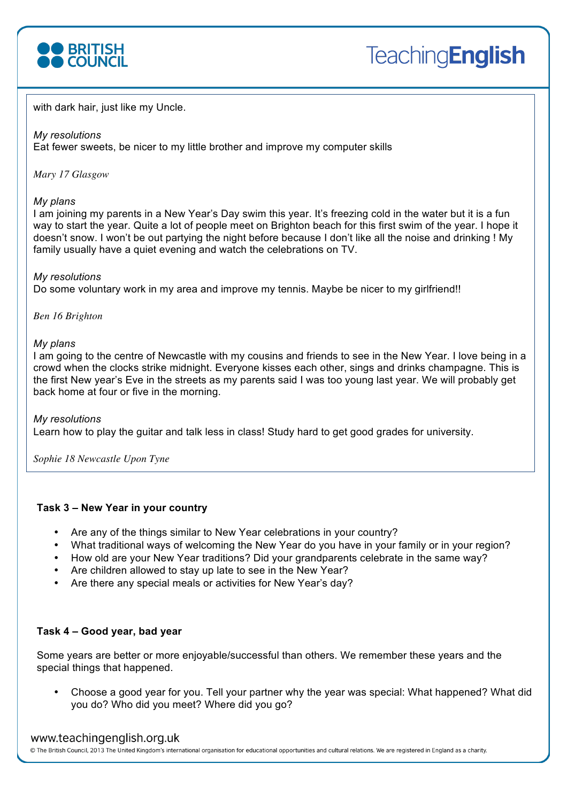

with dark hair, just like my Uncle.

## *My resolutions*

Eat fewer sweets, be nicer to my little brother and improve my computer skills

*Mary 17 Glasgow*

## *My plans*

I am joining my parents in a New Year's Day swim this year. It's freezing cold in the water but it is a fun way to start the year. Quite a lot of people meet on Brighton beach for this first swim of the year. I hope it doesn't snow. I won't be out partying the night before because I don't like all the noise and drinking ! My family usually have a quiet evening and watch the celebrations on TV.

## *My resolutions*

Do some voluntary work in my area and improve my tennis. Maybe be nicer to my girlfriend!!

*Ben 16 Brighton*

## *My plans*

I am going to the centre of Newcastle with my cousins and friends to see in the New Year. I love being in a crowd when the clocks strike midnight. Everyone kisses each other, sings and drinks champagne. This is the first New year's Eve in the streets as my parents said I was too young last year. We will probably get back home at four or five in the morning.

## *My resolutions*

Learn how to play the guitar and talk less in class! Study hard to get good grades for university.

*Sophie 18 Newcastle Upon Tyne*

# **Task 3 – New Year in your country**

- Are any of the things similar to New Year celebrations in your country?
- What traditional ways of welcoming the New Year do you have in your family or in your region?
- How old are your New Year traditions? Did your grandparents celebrate in the same way?
- Are children allowed to stay up late to see in the New Year?
- Are there any special meals or activities for New Year's day?

# **Task 4 – Good year, bad year**

Some years are better or more enjoyable/successful than others. We remember these years and the special things that happened.

• Choose a good year for you. Tell your partner why the year was special: What happened? What did you do? Who did you meet? Where did you go?

# www.teachingenglish.org.uk

@ The British Council, 2013 The United Kingdom's international organisation for educational opportunities and cultural relations. We are registered in England as a charity.